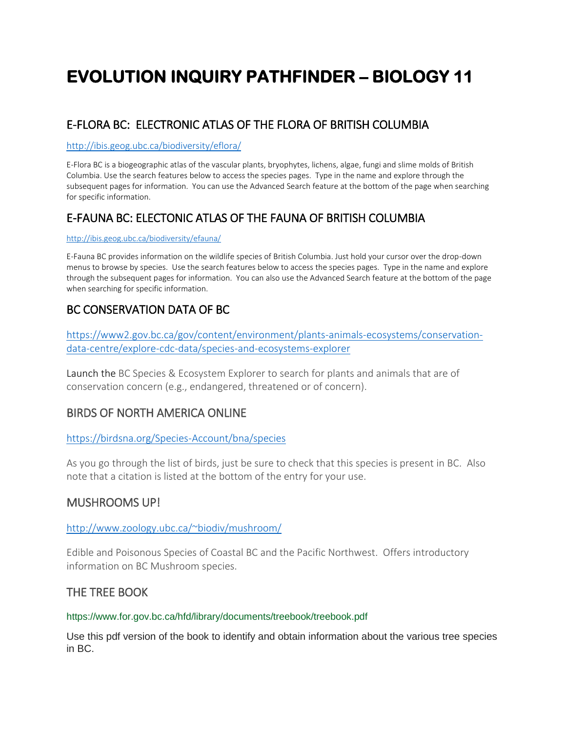# **EVOLUTION INQUIRY PATHFINDER – BIOLOGY 11**

# E-FLORA BC: ELECTRONIC ATLAS OF THE FLORA OF BRITISH COLUMBIA

#### <http://ibis.geog.ubc.ca/biodiversity/eflora/>

E-Flora BC is a biogeographic atlas of the vascular plants, bryophytes, lichens, algae, fungi and slime molds of British Columbia. Use the search features below to access the species pages. Type in the name and explore through the subsequent pages for information. You can use the Advanced Search feature at the bottom of the page when searching for specific information.

# E-FAUNA BC: ELECTONIC ATLAS OF THE FAUNA OF BRITISH COLUMBIA

#### <http://ibis.geog.ubc.ca/biodiversity/efauna/>

E-Fauna BC provides information on the wildlife species of British Columbia. Just hold your cursor over the drop-down menus to browse by species. Use the search features below to access the species pages. Type in the name and explore through the subsequent pages for information. You can also use the Advanced Search feature at the bottom of the page when searching for specific information.

## BC CONSERVATION DATA OF BC

[https://www2.gov.bc.ca/gov/content/environment/plants-animals-ecosystems/conservation](https://www2.gov.bc.ca/gov/content/environment/plants-animals-ecosystems/conservation-data-centre/explore-cdc-data/species-and-ecosystems-explorer)[data-centre/explore-cdc-data/species-and-ecosystems-explorer](https://www2.gov.bc.ca/gov/content/environment/plants-animals-ecosystems/conservation-data-centre/explore-cdc-data/species-and-ecosystems-explorer)

Launch the BC Species & Ecosystem Explorer to search for plants and animals that are of conservation concern (e.g., endangered, threatened or of concern).

## BIRDS OF NORTH AMERICA ONLINE

### <https://birdsna.org/Species-Account/bna/species>

As you go through the list of birds, just be sure to check that this species is present in BC. Also note that a citation is listed at the bottom of the entry for your use.

## MUSHROOMS UP!

### <http://www.zoology.ubc.ca/~biodiv/mushroom/>

Edible and Poisonous Species of Coastal BC and the Pacific Northwest. Offers introductory information on BC Mushroom species.

## THE TREE BOO[K](https://www.for.gov.bc.ca/hfd/library/documents/treebook/treebook.pdf)

### <https://www.for.gov.bc.ca/hfd/library/documents/treebook/treebook.pdf>

Use this pdf version of the book to identify and obtain information about the various tree species in BC.